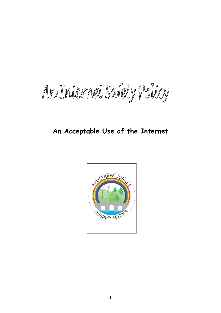An Internet Safety Policy

# **An Acceptable Use of the Internet**

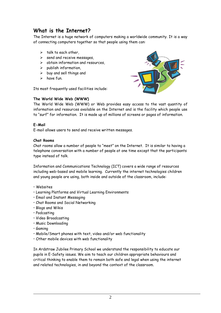# **What is the Internet?**

The Internet is a huge network of computers making a worldwide community. It is a way of connecting computers together so that people using them can:

- $\triangleright$  talk to each other,
- $\triangleright$  send and receive messages,
- $\triangleright$  obtain information and resources,
- $\triangleright$  publish information,
- $\triangleright$  buy and sell things and
- $\triangleright$  have fun.

Its most frequently used facilities include:

### **The World Wide Web (WWW)**



The World Wide Web (WWW) or Web provides easy access to the vast quantity of information and resources available on the Internet and is the facility which people use to "surf" for information. It is made up of millions of screens or pages of information.

#### **E-Mail**

E-mail allows users to send and receive written messages.

#### **Chat Rooms**

Chat rooms allow a number of people to "meet" on the Internet. It is similar to having a telephone conversation with a number of people at one time except that the participants type instead of talk.

Information and Communications Technology (ICT) covers a wide range of resources including web-based and mobile learning. Currently the internet technologies children and young people are using, both inside and outside of the classroom, include:

- Websites
- Learning Platforms and Virtual Learning Environments
- Email and Instant Messaging
- Chat Rooms and Social Networking
- Blogs and Wikis
- Podcasting
- Video Broadcasting
- Music Downloading
- Gaming
- Mobile/Smart phones with text, video and/or web functionality
- Other mobile devices with web functionality

In Ardstraw Jubilee Primary School we understand the responsibility to educate our pupils in E-Safety issues. We aim to teach our children appropriate behaviours and critical thinking to enable them to remain both safe and legal when using the internet and related technologies, in and beyond the context of the classroom.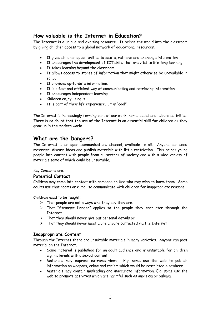## **How valuable is the Internet in Education?**

The Internet is a unique and exciting resource. It brings the world into the classroom by giving children access to a global network of educational resources.

- It gives children opportunities to locate, retrieve and exchange information.
- It encourages the development of ICT skills that are vital to life-long learning.
- It takes learning beyond the classroom.
- It allows access to stores of information that might otherwise be unavailable in school.
- It provides up-to-date information.
- It is a fast and efficient way of communicating and retrieving information.
- It encourages independent learning.
- Children enjoy using it.
- It is part of their life experience. It is "cool".

The Internet is increasingly forming part of our work, home, social and leisure activities. There is no doubt that the use of the Internet is an essential skill for children as they grow up in the modern world.

## **What are the Dangers?**

The Internet is an open communications channel, available to all. Anyone can send messages, discuss ideas and publish materials with little restriction. This brings young people into contact with people from all sectors of society and with a wide variety of materials some of which could be unsuitable.

Key Concerns are:

## **Potential Contact**

Children may come into contact with someone on-line who may wish to harm them. Some adults use chat rooms or e-mail to communicate with children for inappropriate reasons

Children need to be taught:

- $\triangleright$  That people are not always who they say they are.
- $\triangleright$  That "Stranger Danger" applies to the people they encounter through the Internet.
- $\triangleright$  That they should never give out personal details or
- $\triangleright$  That they should never meet alone anyone contacted via the Internet

## **Inappropriate Content**

Through the Internet there are unsuitable materials in many varieties. Anyone can post material on the Internet.

- Some material is published for an adult audience and is unsuitable for children e.g. materials with a sexual content.
- Materials may express extreme views. E.g. some use the web to publish information on weapons, crime and racism which would be restricted elsewhere.
- Materials may contain misleading and inaccurate information. E.g. some use the web to promote activities which are harmful such as anorexia or bulimia.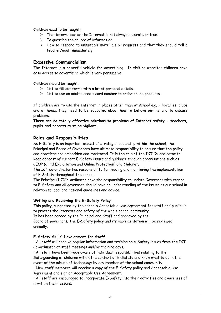Children need to be taught:

- $\triangleright$  That information on the Internet is not always accurate or true.
- $\triangleright$  To question the source of information.
- How to respond to unsuitable materials or requests and that they should tell a teacher/adult immediately.

## **Excessive Commercialism**

The Internet is a powerful vehicle for advertising. In visiting websites children have easy access to advertising which is very persuasive.

Children should be taught:

- $\triangleright$  Not to fill out forms with a lot of personal details.
- $\triangleright$  Not to use an adult's credit card number to order online products.

If children are to use the Internet in places other than at school e.g. – libraries, clubs and at home, they need to be educated about how to behave on-line and to discuss problems.

**There are no totally effective solutions to problems of Internet safety - teachers, pupils and parents must be vigilant.**

## **Roles and Responsibilities**

As E-Safety is an important aspect of strategic leadership within the school, the Principal and Board of Governors have ultimate responsibility to ensure that the policy and practices are embedded and monitored. It is the role of the ICT Co-ordinator to keep abreast of current E-Safety issues and guidance through organisations such as CEOP (Child Exploitation and Online Protection) and Childnet.

The ICT Co-ordinator has responsibility for leading and monitoring the implementation of E-Safety throughout the school.

The Principal/ICTCo-ordinator have the responsibility to update Governors with regard to E-Safety and all governors should have an understanding of the issues at our school in relation to local and national guidelines and advice.

#### **Writing and Reviewing the E-Safety Policy**

This policy, supported by the school's Acceptable Use Agreement for staff and pupils, is to protect the interests and safety of the whole school community.

It has been agreed by the Principal and Staff and approved by the

Board of Governors. The E-Safety policy and its implementation will be reviewed annually.

### **E-Safety Skills' Development for Staff**

• All staff will receive regular information and training on e-Safety issues from the ICT Co-ordinator at staff meetings and/or training days.

• All staff have been made aware of individual responsibilities relating to the Safe-guarding of children within the context of E-Safety and know what to do in the event of the misuse of technology by any member of the school community.

• New staff members will receive a copy of the E-Safety policy and Acceptable Use Agreement and sign an Acceptable Use Agreement.

• All staff are encouraged to incorporate E-Safety into their activities and awareness of it within their lessons.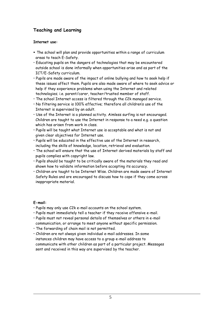## **Teaching and Learning**

### **Internet use:**

- The school will plan and provide opportunities within a range of curriculum areas to teach E-Safety.
- Educating pupils on the dangers of technologies that may be encountered outside school is done informally when opportunities arise and as part of the ICT/E-Safety curriculum.
- Pupils are made aware of the impact of online bullying and how to seek help if these issues affect them. Pupils are also made aware of where to seek advice or help if they experience problems when using the Internet and related technologies; i.e. parent/carer, teacher/trusted member of staff.
- The school Internet access is filtered through the C2k managed service.
- No filtering service is 100% effective; therefore all children's use of the Internet is supervised by an adult.
- Use of the Internet is a planned activity. Aimless surfing is not encouraged. Children are taught to use the Internet in response to a need e.g. a question which has arisen from work in class.
- Pupils will be taught what Internet use is acceptable and what is not and given clear objectives for Internet use.
- Pupils will be educated in the effective use of the Internet in research, including the skills of knowledge, location, retrieval and evaluation.
- The school will ensure that the use of Internet derived materials by staff and pupils complies with copyright law.
- Pupils should be taught to be critically aware of the materials they read and shown how to validate information before accepting its accuracy.
- Children are taught to be Internet Wise. Children are made aware of Internet Safety Rules and are encouraged to discuss how to cope if they come across inappropriate material.

### **E-mail:**

- Pupils may only use C2k e-mail accounts on the school system.
- Pupils must immediately tell a teacher if they receive offensive e-mail.
- Pupils must not reveal personal details of themselves or others in e-mail communication, or arrange to meet anyone without specific permission.
- The forwarding of chain mail is not permitted.
- Children are not always given individual e-mail addresses. In some instances children may have access to a group e-mail address to communicate with other children as part of a particular project. Messages sent and received in this way are supervised by the teacher.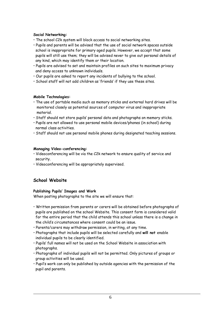#### **Social Networking:**

- The school C2k system will block access to social networking sites.
- Pupils and parents will be advised that the use of social network spaces outside school is inappropriate for primary aged pupils. However, we accept that some pupils will still use them; they will be advised never to give out personal details of any kind, which may identify them or their location.
- Pupils are advised to set and maintain profiles on such sites to maximum privacy and deny access to unknown individuals.
- Our pupils are asked to report any incidents of bullying to the school.
- School staff will not add children as 'friends' if they use these sites.

#### **Mobile Technologies:**

- The use of portable media such as memory sticks and external hard drives will be monitored closely as potential sources of computer virus and inappropriate material.
- Staff should not store pupils' personal data and photographs on memory sticks.
- Pupils are not allowed to use personal mobile devices/phones (in school) during normal class activities.
- Staff should not use personal mobile phones during designated teaching sessions.

#### **Managing Video-conferencing:**

- Videoconferencing will be via the C2k network to ensure quality of service and security.
- Videoconferencing will be appropriately supervised.

## **School Website**

#### **Publishing Pupils' Images and Work**

When posting photographs to the site we will ensure that:

- Written permission from parents or carers will be obtained before photographs of pupils are published on the school Website. This consent form is considered valid for the entire period that the child attends this school unless there is a change in the child's circumstances where consent could be an issue.
- Parents/carers may withdraw permission, in writing, at any time.
- Photographs that include pupils will be selected carefully and **will not** enable individual pupils to be clearly identified.
- Pupils' full names will not be used on the School Website in association with photographs.
- Photographs of individual pupils will not be permitted. Only pictures of groups or group activities will be used.
- Pupil's work can only be published by outside agencies with the permission of the pupil and parents.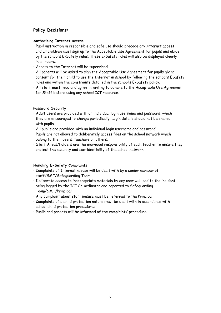## **Policy Decisions:**

## **Authorising Internet access**

- Pupil instruction in responsible and safe use should precede any Internet access and all children must sign up to the Acceptable Use Agreement for pupils and abide by the school's E-Safety rules. These E-Safety rules will also be displayed clearly in all rooms.
- Access to the Internet will be supervised.
- All parents will be asked to sign the Acceptable Use Agreement for pupils giving consent for their child to use the Internet in school by following the school's ESafety rules and within the constraints detailed in the school's E-Safety policy.
- All staff must read and agree in writing to adhere to the Acceptable Use Agreement for Staff before using any school ICT resource.

## **Password Security:**

- Adult users are provided with an individual login username and password, which they are encouraged to change periodically. Login details should not be shared with pupils.
- All pupils are provided with an individual login username and password.
- Pupils are not allowed to deliberately access files on the school network which belong to their peers, teachers or others.
- Staff Areas/Folders are the individual responsibility of each teacher to ensure they protect the security and confidentiality of the school network.

## **Handling E-Safety Complaints:**

- Complaints of Internet misuse will be dealt with by a senior member of staff/SMT/Safeguarding Team.
- Deliberate access to inappropriate materials by any user will lead to the incident being logged by the ICT Co-ordinator and reported to Safeguarding Team/SMT/Principal.
- Any complaint about staff misuse must be referred to the Principal.
- Complaints of a child protection nature must be dealt with in accordance with school child protection procedures.
- Pupils and parents will be informed of the complaints' procedure.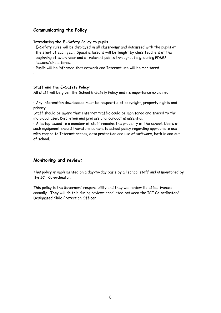## **Communicating the Policy:**

### **Introducing the E-Safety Policy to pupils**

- E-Safety rules will be displayed in all classrooms and discussed with the pupils at the start of each year. Specific lessons will be taught by class teachers at the beginning of every year and at relevant points throughout e.g. during PDMU lessons/circle times.
- Pupils will be informed that network and Internet use will be monitored**.**

### **Staff and the E-Safety Policy:**

.

All staff will be given the School E-Safety Policy and its importance explained.

• Any information downloaded must be respectful of copyright, property rights and privacy.

Staff should be aware that Internet traffic could be monitored and traced to the individual user. Discretion and professional conduct is essential.

• A laptop issued to a member of staff remains the property of the school. Users of such equipment should therefore adhere to school policy regarding appropriate use with regard to Internet access, data protection and use of software, both in and out of school.

## **Monitoring and review:**

This policy is implemented on a day-to-day basis by all school staff and is monitored by the ICT Co-ordinator.

This policy is the Governors' responsibility and they will review its effectiveness annually. They will do this during reviews conducted between the ICT Co-ordinator/ Designated Child Protection Officer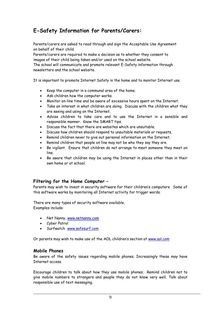# **E-Safety Information for Parents/Carers:**

Parents/carers are asked to read through and sign the Acceptable Use Agreement on behalf of their child.

Parents/carers are required to make a decision as to whether they consent to images of their child being taken and/or used on the school website. The school will communicate and promote relevant E-Safety information through

newsletters and the school website.

It is important to promote Internet Safety in the home and to monitor Internet use.

- Keep the computer in a communal area of the home.
- Ask children how the computer works.
- Monitor on-line time and be aware of excessive hours spent on the Internet.
- Take an interest in what children are doing. Discuss with the children what they are seeing and using on the Internet.
- Advise children to take care and to use the Internet in a sensible and responsible manner. Know the SMART tips.
- Discuss the fact that there are websites which are unsuitable.
- Discuss how children should respond to unsuitable materials or requests.
- Remind children never to give out personal information on the Internet.
- Remind children that people on line may not be who they say they are.
- Be vigilant. Ensure that children do not arrange to meet someone they meet on line.
- Be aware that children may be using the Internet in places other than in their own home or at school.

## **Filtering for the Home Computer –**

Parents may wish to invest in security software for their children's computers. Some of this software works by monitoring all Internet activity for trigger words.

There are many types of security software available. Examples include:

- Net Nanny, [www.netnanny.com](http://www.netnanny.com/)
- Cyber Patrol
- Surfwatch [www.safesurf.com](http://www.safesurf.com/)

Or parents may wish to make use of the AOL children's section at [www.aol.com](http://www.aol.com/)

### **Mobile Phones**

Be aware of the safety issues regarding mobile phones. Increasingly these may have Internet access.

Encourage children to talk about how they use mobile phones. Remind children not to give mobile numbers to strangers and people they do not know very well. Talk about responsible use of text messaging.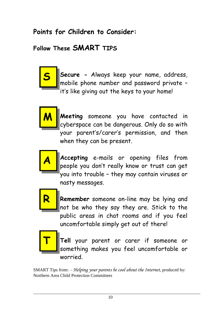# **Points for Children to Consider:**

# **Follow These SMART TIPS**



**Secure -** Always keep your name, address, mobile phone number and password private – it's like giving out the keys to your home!



**Meeting** someone you have contacted in cyberspace can be dangerous. Only do so with your parent's/carer's permission, and then when they can be present.



**Accepting** e-mails or opening files from people you don't really know or trust can get you into trouble – they may contain viruses or nasty messages.



**Remember** someone on-line may be lying and not be who they say they are. Stick to the public areas in chat rooms and if you feel uncomfortable simply get out of there!



**Tell** your parent or carer if someone or something makes you feel uncomfortable or worried.

SMART Tips from: – *Helping your parents be cool about the Internet,* produced by: Northern Area Child Protection Committees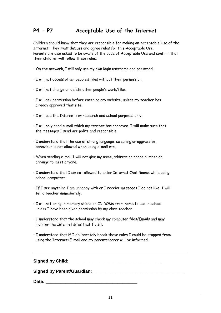## **P4 - P7 Acceptable Use of the Internet**

Children should know that they are responsible for making an Acceptable Use of the Internet. They must discuss and agree rules for this Acceptable Use. Parents are also asked to be aware of the code of Acceptable Use and confirm that their children will follow these rules.

- On the network, I will only use my own login username and password.
- I will not access other people's files without their permission.
- I will not change or delete other people's work/files.
- I will ask permission before entering any website, unless my teacher has already approved that site.
- I will use the Internet for research and school purposes only.
- I will only send e-mail which my teacher has approved. I will make sure that the messages I send are polite and responsible.
- I understand that the use of strong language, swearing or aggressive behaviour is not allowed when using e-mail etc.
- When sending e-mail I will not give my name, address or phone number or arrange to meet anyone.
- I understand that I am not allowed to enter Internet Chat Rooms while using school computers.
- If I see anything I am unhappy with or I receive messages I do not like, I will tell a teacher immediately.
- I will not bring in memory sticks or CD ROMs from home to use in school unless I have been given permission by my class teacher.
- I understand that the school may check my computer files/Emails and may monitor the Internet sites that I visit.
- I understand that if I deliberately break these rules I could be stopped from using the Internet/E-mail and my parents/carer will be informed.

**Signed by Child:**  $\blacksquare$ 

Signed by Parent/Guardian:

Date: